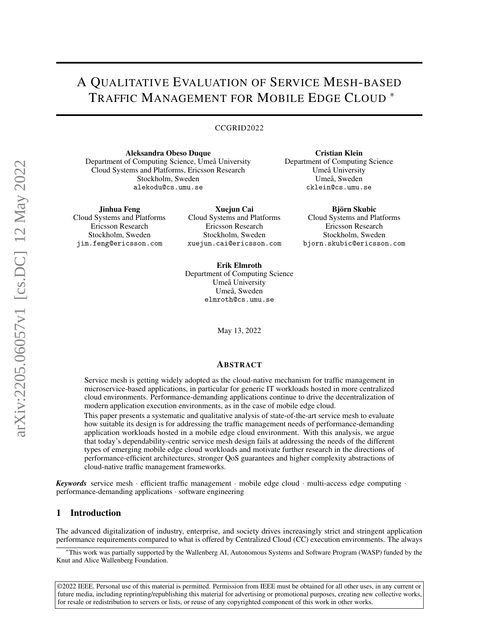# A QUALITATIVE EVALUATION OF SERVICE MESH-BASED TRAFFIC MANAGEMENT FOR MOBILE EDGE CLOUD <sup>∗</sup>

#### CCGRID2022

Aleksandra Obeso Duque Department of Computing Science, Umeå University Cloud Systems and Platforms, Ericsson Research Stockholm, Sweden alekodu@cs.umu.se

Cristian Klein Department of Computing Science Umeå University Umeå, Sweden cklein@cs.umu.se

> Björn Skubic Cloud Systems and Platforms Ericsson Research Stockholm, Sweden bjorn.skubic@ericsson.com

Jinhua Feng

Cloud Systems and Platforms Ericsson Research Stockholm, Sweden jim.feng@ericsson.com

Xuejun Cai Cloud Systems and Platforms Ericsson Research Stockholm, Sweden xuejun.cai@ericsson.com

Erik Elmroth Department of Computing Science Umeå University Umeå, Sweden elmroth@cs.umu.se

May 13, 2022

#### ABSTRACT

Service mesh is getting widely adopted as the cloud-native mechanism for traffic management in microservice-based applications, in particular for generic IT workloads hosted in more centralized cloud environments. Performance-demanding applications continue to drive the decentralization of modern application execution environments, as in the case of mobile edge cloud.

This paper presents a systematic and qualitative analysis of state-of-the-art service mesh to evaluate how suitable its design is for addressing the traffic management needs of performance-demanding application workloads hosted in a mobile edge cloud environment. With this analysis, we argue that today's dependability-centric service mesh design fails at addressing the needs of the different types of emerging mobile edge cloud workloads and motivate further research in the directions of performance-efficient architectures, stronger QoS guarantees and higher complexity abstractions of cloud-native traffic management frameworks.

*Keywords* service mesh · efficient traffic management · mobile edge cloud · multi-access edge computing · performance-demanding applications · software engineering

# 1 Introduction

The advanced digitalization of industry, enterprise, and society drives increasingly strict and stringent application performance requirements compared to what is offered by Centralized Cloud (CC) execution environments. The always

©2022 IEEE. Personal use of this material is permitted. Permission from IEEE must be obtained for all other uses, in any current or future media, including reprinting/republishing this material for advertising or promotional purposes, creating new collective works, for resale or redistribution to servers or lists, or reuse of any copyrighted component of this work in other works.

<sup>∗</sup>This work was partially supported by the Wallenberg AI, Autonomous Systems and Software Program (WASP) funded by the Knut and Alice Wallenberg Foundation.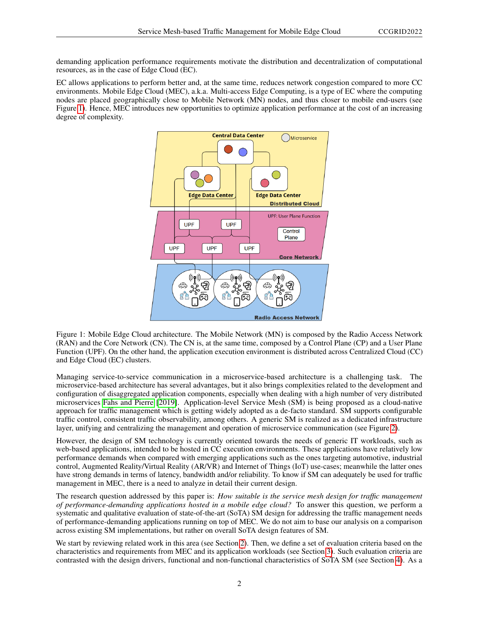demanding application performance requirements motivate the distribution and decentralization of computational resources, as in the case of Edge Cloud (EC).

EC allows applications to perform better and, at the same time, reduces network congestion compared to more CC environments. Mobile Edge Cloud (MEC), a.k.a. Multi-access Edge Computing, is a type of EC where the computing nodes are placed geographically close to Mobile Network (MN) nodes, and thus closer to mobile end-users (see Figure [1\)](#page-1-0). Hence, MEC introduces new opportunities to optimize application performance at the cost of an increasing degree of complexity.



<span id="page-1-0"></span>Figure 1: Mobile Edge Cloud architecture. The Mobile Network (MN) is composed by the Radio Access Network (RAN) and the Core Network (CN). The CN is, at the same time, composed by a Control Plane (CP) and a User Plane Function (UPF). On the other hand, the application execution environment is distributed across Centralized Cloud (CC) and Edge Cloud (EC) clusters.

Managing service-to-service communication in a microservice-based architecture is a challenging task. The microservice-based architecture has several advantages, but it also brings complexities related to the development and configuration of disaggregated application components, especially when dealing with a high number of very distributed microservices [Fahs and Pierre](#page-13-0) [\[2019\]](#page-13-0). Application-level Service Mesh (SM) is being proposed as a cloud-native approach for traffic management which is getting widely adopted as a de-facto standard. SM supports configurable traffic control, consistent traffic observability, among others. A generic SM is realized as a dedicated infrastructure layer, unifying and centralizing the management and operation of microservice communication (see Figure [2\)](#page-2-0).

However, the design of SM technology is currently oriented towards the needs of generic IT workloads, such as web-based applications, intended to be hosted in CC execution environments. These applications have relatively low performance demands when compared with emerging applications such as the ones targeting automotive, industrial control, Augmented Reality/Virtual Reality (AR/VR) and Internet of Things (IoT) use-cases; meanwhile the latter ones have strong demands in terms of latency, bandwidth and/or reliability. To know if SM can adequately be used for traffic management in MEC, there is a need to analyze in detail their current design.

The research question addressed by this paper is: *How suitable is the service mesh design for traffic management of performance-demanding applications hosted in a mobile edge cloud?* To answer this question, we perform a systematic and qualitative evaluation of state-of-the-art (SoTA) SM design for addressing the traffic management needs of performance-demanding applications running on top of MEC. We do not aim to base our analysis on a comparison across existing SM implementations, but rather on overall SoTA design features of SM.

We start by reviewing related work in this area (see Section [2\)](#page-2-1). Then, we define a set of evaluation criteria based on the characteristics and requirements from MEC and its application workloads (see Section [3\)](#page-4-0). Such evaluation criteria are contrasted with the design drivers, functional and non-functional characteristics of SoTA SM (see Section [4\)](#page-5-0). As a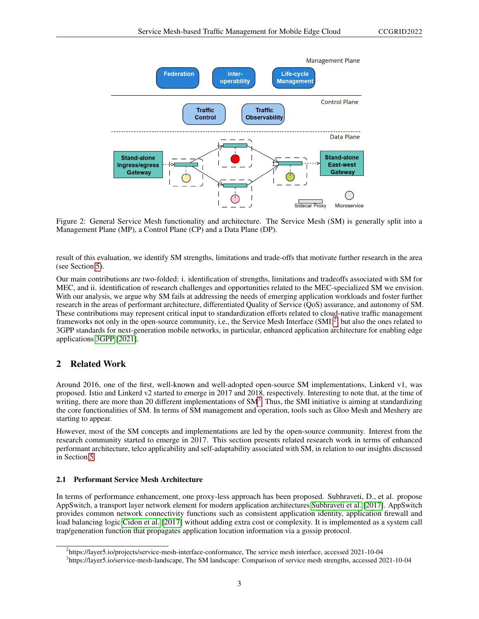

<span id="page-2-0"></span>Figure 2: General Service Mesh functionality and architecture. The Service Mesh (SM) is generally split into a Management Plane (MP), a Control Plane (CP) and a Data Plane (DP).

result of this evaluation, we identify SM strengths, limitations and trade-offs that motivate further research in the area (see Section [5\)](#page-8-0).

Our main contributions are two-folded: i. identification of strengths, limitations and tradeoffs associated with SM for MEC, and ii. identification of research challenges and opportunities related to the MEC-specialized SM we envision. With our analysis, we argue why SM fails at addressing the needs of emerging application workloads and foster further research in the areas of performant architecture, differentiated Quality of Service (QoS) assurance, and autonomy of SM. These contributions may represent critical input to standardization efforts related to cloud-native traffic management frameworks not only in the open-source community, i.e., the Service Mesh Interface (SMI)<sup>[2](#page-2-2)</sup>, but also the ones related to 3GPP standards for next-generation mobile networks, in particular, enhanced application architecture for enabling edge applications [3GPP](#page-13-1) [\[2021\]](#page-13-1).

# <span id="page-2-1"></span>2 Related Work

Around 2016, one of the first, well-known and well-adopted open-source SM implementations, Linkerd v1, was proposed. Istio and Linkerd v2 started to emerge in 2017 and 2018, respectively. Interesting to note that, at the time of writing, there are more than 20 different implementations of SM<sup>[3](#page-2-3)</sup>. Thus, the SMI initiative is aiming at standardizing the core functionalities of SM. In terms of SM management and operation, tools such as Gloo Mesh and Meshery are starting to appear.

However, most of the SM concepts and implementations are led by the open-source community. Interest from the research community started to emerge in 2017. This section presents related research work in terms of enhanced performant architecture, telco applicability and self-adaptability associated with SM, in relation to our insights discussed in Section [5.](#page-8-0)

#### 2.1 Performant Service Mesh Architecture

In terms of performance enhancement, one proxy-less approach has been proposed. Subhraveti, D., et al. propose AppSwitch, a transport layer network element for modern application architectures [Subhraveti et al.](#page-13-2) [\[2017\]](#page-13-2). AppSwitch provides common network connectivity functions such as consistent application identity, application firewall and load balancing logic [Cidon et al.](#page-13-3) [\[2017\]](#page-13-3) without adding extra cost or complexity. It is implemented as a system call trap/generation function that propagates application location information via a gossip protocol.

<span id="page-2-2"></span><sup>2</sup> https://layer5.io/projects/service-mesh-interface-conformance, The service mesh interface, accessed 2021-10-04

<span id="page-2-3"></span><sup>3</sup> https://layer5.io/service-mesh-landscape, The SM landscape: Comparison of service mesh strengths, accessed 2021-10-04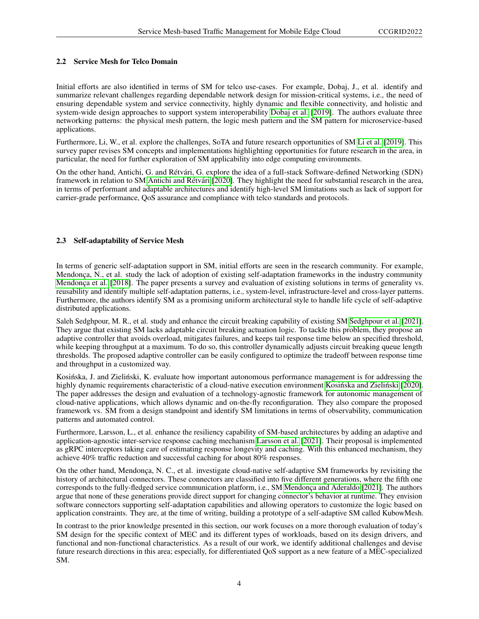#### 2.2 Service Mesh for Telco Domain

Initial efforts are also identified in terms of SM for telco use-cases. For example, Dobaj, J., et al. identify and summarize relevant challenges regarding dependable network design for mission-critical systems, i.e., the need of ensuring dependable system and service connectivity, highly dynamic and flexible connectivity, and holistic and system-wide design approaches to support system interoperability [Dobaj et al.](#page-13-4) [\[2019\]](#page-13-4). The authors evaluate three networking patterns: the physical mesh pattern, the logic mesh pattern and the SM pattern for microservice-based applications.

Furthermore, Li, W., et al. explore the challenges, SoTA and future research opportunities of SM [Li et al.](#page-14-0) [\[2019\]](#page-14-0). This survey paper revises SM concepts and implementations highlighting opportunities for future research in the area, in particular, the need for further exploration of SM applicability into edge computing environments.

On the other hand, Antichi, G. and Rétvári, G. explore the idea of a full-stack Software-defined Networking (SDN) framework in relation to SM [Antichi and Rétvári](#page-14-1) [\[2020\]](#page-14-1). They highlight the need for substantial research in the area, in terms of performant and adaptable architectures and identify high-level SM limitations such as lack of support for carrier-grade performance, QoS assurance and compliance with telco standards and protocols.

# 2.3 Self-adaptability of Service Mesh

In terms of generic self-adaptation support in SM, initial efforts are seen in the research community. For example, Mendonça, N., et al. study the lack of adoption of existing self-adaptation frameworks in the industry community [Mendonça et al.](#page-14-2) [\[2018\]](#page-14-2). The paper presents a survey and evaluation of existing solutions in terms of generality vs. reusability and identify multiple self-adaptation patterns, i.e., system-level, infrastructure-level and cross-layer patterns. Furthermore, the authors identify SM as a promising uniform architectural style to handle life cycle of self-adaptive distributed applications.

Saleh Sedghpour, M. R., et al. study and enhance the circuit breaking capability of existing SM [Sedghpour et al.](#page-14-3) [\[2021\]](#page-14-3). They argue that existing SM lacks adaptable circuit breaking actuation logic. To tackle this problem, they propose an adaptive controller that avoids overload, mitigates failures, and keeps tail response time below an specified threshold, while keeping throughput at a maximum. To do so, this controller dynamically adjusts circuit breaking queue length thresholds. The proposed adaptive controller can be easily configured to optimize the tradeoff between response time and throughput in a customized way.

Kosińska, J. and Zieliński, K. evaluate how important autonomous performance management is for addressing the highly dynamic requirements characteristic of a cloud-native execution environment Kosińska and Zieliński [\[2020\]](#page-14-4). The paper addresses the design and evaluation of a technology-agnostic framework for autonomic management of cloud-native applications, which allows dynamic and on-the-fly reconfiguration. They also compare the proposed framework vs. SM from a design standpoint and identify SM limitations in terms of observability, communication patterns and automated control.

Furthermore, Larsson, L., et al. enhance the resiliency capability of SM-based architectures by adding an adaptive and application-agnostic inter-service response caching mechanism [Larsson et al.](#page-14-5) [\[2021\]](#page-14-5). Their proposal is implemented as gRPC interceptors taking care of estimating response longevity and caching. With this enhanced mechanism, they achieve 40% traffic reduction and successful caching for about 80% responses.

On the other hand, Mendonça, N. C., et al. investigate cloud-native self-adaptive SM frameworks by revisiting the history of architectural connectors. These connectors are classified into five different generations, where the fifth one corresponds to the fully-fledged service communication platform, i.e., SM [Mendonça and Aderaldo](#page-14-6) [\[2021\]](#page-14-6). The authors argue that none of these generations provide direct support for changing connector's behavior at runtime. They envision software connectors supporting self-adaptation capabilities and allowing operators to customize the logic based on application constraints. They are, at the time of writing, building a prototype of a self-adaptive SM called KubowMesh.

In contrast to the prior knowledge presented in this section, our work focuses on a more thorough evaluation of today's SM design for the specific context of MEC and its different types of workloads, based on its design drivers, and functional and non-functional characteristics. As a result of our work, we identify additional challenges and devise future research directions in this area; especially, for differentiated QoS support as a new feature of a MEC-specialized SM.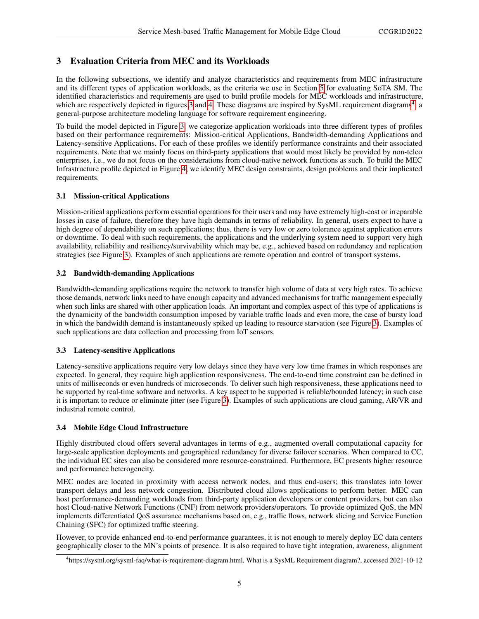# <span id="page-4-0"></span>3 Evaluation Criteria from MEC and its Workloads

In the following subsections, we identify and analyze characteristics and requirements from MEC infrastructure and its different types of application workloads, as the criteria we use in Section [5](#page-8-0) for evaluating SoTA SM. The identified characteristics and requirements are used to build profile models for MEC workloads and infrastructure, which are respectively depicted in figures [3](#page-5-1) and [4.](#page-6-0) These diagrams are inspired by SysML requirement diagrams<sup>[4](#page-4-1)</sup>, a general-purpose architecture modeling language for software requirement engineering.

To build the model depicted in Figure [3,](#page-5-1) we categorize application workloads into three different types of profiles based on their performance requirements: Mission-critical Applications, Bandwidth-demanding Applications and Latency-sensitive Applications. For each of these profiles we identify performance constraints and their associated requirements. Note that we mainly focus on third-party applications that would most likely be provided by non-telco enterprises, i.e., we do not focus on the considerations from cloud-native network functions as such. To build the MEC Infrastructure profile depicted in Figure [4,](#page-6-0) we identify MEC design constraints, design problems and their implicated requirements.

#### 3.1 Mission-critical Applications

Mission-critical applications perform essential operations for their users and may have extremely high-cost or irreparable losses in case of failure, therefore they have high demands in terms of reliability. In general, users expect to have a high degree of dependability on such applications; thus, there is very low or zero tolerance against application errors or downtime. To deal with such requirements, the applications and the underlying system need to support very high availability, reliability and resiliency/survivability which may be, e.g., achieved based on redundancy and replication strategies (see Figure [3\)](#page-5-1). Examples of such applications are remote operation and control of transport systems.

#### 3.2 Bandwidth-demanding Applications

Bandwidth-demanding applications require the network to transfer high volume of data at very high rates. To achieve those demands, network links need to have enough capacity and advanced mechanisms for traffic management especially when such links are shared with other application loads. An important and complex aspect of this type of applications is the dynamicity of the bandwidth consumption imposed by variable traffic loads and even more, the case of bursty load in which the bandwidth demand is instantaneously spiked up leading to resource starvation (see Figure [3\)](#page-5-1). Examples of such applications are data collection and processing from IoT sensors.

# 3.3 Latency-sensitive Applications

Latency-sensitive applications require very low delays since they have very low time frames in which responses are expected. In general, they require high application responsiveness. The end-to-end time constraint can be defined in units of milliseconds or even hundreds of microseconds. To deliver such high responsiveness, these applications need to be supported by real-time software and networks. A key aspect to be supported is reliable/bounded latency; in such case it is important to reduce or eliminate jitter (see Figure [3\)](#page-5-1). Examples of such applications are cloud gaming, AR/VR and industrial remote control.

# 3.4 Mobile Edge Cloud Infrastructure

Highly distributed cloud offers several advantages in terms of e.g., augmented overall computational capacity for large-scale application deployments and geographical redundancy for diverse failover scenarios. When compared to CC, the individual EC sites can also be considered more resource-constrained. Furthermore, EC presents higher resource and performance heterogeneity.

MEC nodes are located in proximity with access network nodes, and thus end-users; this translates into lower transport delays and less network congestion. Distributed cloud allows applications to perform better. MEC can host performance-demanding workloads from third-party application developers or content providers, but can also host Cloud-native Network Functions (CNF) from network providers/operators. To provide optimized QoS, the MN implements differentiated QoS assurance mechanisms based on, e.g., traffic flows, network slicing and Service Function Chaining (SFC) for optimized traffic steering.

However, to provide enhanced end-to-end performance guarantees, it is not enough to merely deploy EC data centers geographically closer to the MN's points of presence. It is also required to have tight integration, awareness, alignment

<span id="page-4-1"></span><sup>4</sup> https://sysml.org/sysml-faq/what-is-requirement-diagram.html, What is a SysML Requirement diagram?, accessed 2021-10-12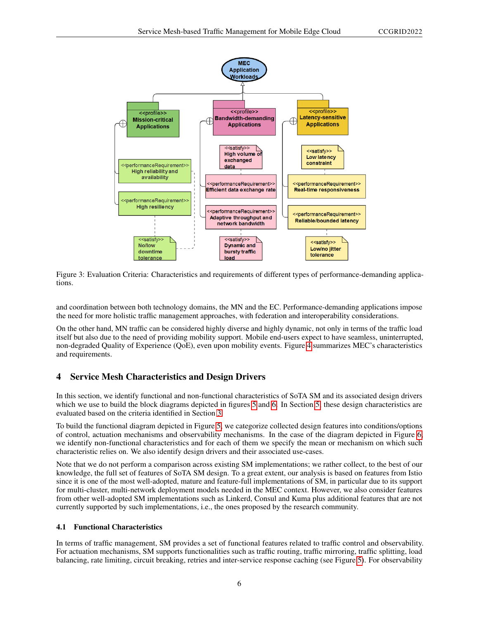

<span id="page-5-1"></span>Figure 3: Evaluation Criteria: Characteristics and requirements of different types of performance-demanding applications.

and coordination between both technology domains, the MN and the EC. Performance-demanding applications impose the need for more holistic traffic management approaches, with federation and interoperability considerations.

On the other hand, MN traffic can be considered highly diverse and highly dynamic, not only in terms of the traffic load itself but also due to the need of providing mobility support. Mobile end-users expect to have seamless, uninterrupted, non-degraded Quality of Experience (QoE), even upon mobility events. Figure [4](#page-6-0) summarizes MEC's characteristics and requirements.

# <span id="page-5-0"></span>4 Service Mesh Characteristics and Design Drivers

In this section, we identify functional and non-functional characteristics of SoTA SM and its associated design drivers which we use to build the block diagrams depicted in figures [5](#page-7-0) and [6.](#page-8-1) In Section [5,](#page-8-0) these design characteristics are evaluated based on the criteria identified in Section [3.](#page-4-0)

To build the functional diagram depicted in Figure [5,](#page-7-0) we categorize collected design features into conditions/options of control, actuation mechanisms and observability mechanisms. In the case of the diagram depicted in Figure [6,](#page-8-1) we identify non-functional characteristics and for each of them we specify the mean or mechanism on which such characteristic relies on. We also identify design drivers and their associated use-cases.

Note that we do not perform a comparison across existing SM implementations; we rather collect, to the best of our knowledge, the full set of features of SoTA SM design. To a great extent, our analysis is based on features from Istio since it is one of the most well-adopted, mature and feature-full implementations of SM, in particular due to its support for multi-cluster, multi-network deployment models needed in the MEC context. However, we also consider features from other well-adopted SM implementations such as Linkerd, Consul and Kuma plus additional features that are not currently supported by such implementations, i.e., the ones proposed by the research community.

# 4.1 Functional Characteristics

In terms of traffic management, SM provides a set of functional features related to traffic control and observability. For actuation mechanisms, SM supports functionalities such as traffic routing, traffic mirroring, traffic splitting, load balancing, rate limiting, circuit breaking, retries and inter-service response caching (see Figure [5\)](#page-7-0). For observability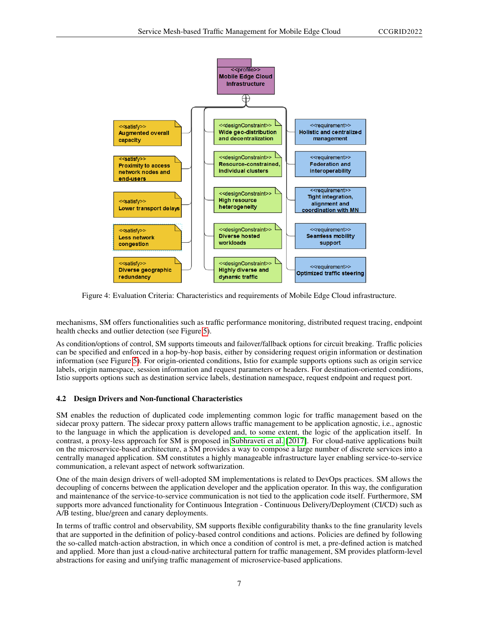

<span id="page-6-0"></span>Figure 4: Evaluation Criteria: Characteristics and requirements of Mobile Edge Cloud infrastructure.

mechanisms, SM offers functionalities such as traffic performance monitoring, distributed request tracing, endpoint health checks and outlier detection (see Figure [5\)](#page-7-0).

As condition/options of control, SM supports timeouts and failover/fallback options for circuit breaking. Traffic policies can be specified and enforced in a hop-by-hop basis, either by considering request origin information or destination information (see Figure [5\)](#page-7-0). For origin-oriented conditions, Istio for example supports options such as origin service labels, origin namespace, session information and request parameters or headers. For destination-oriented conditions, Istio supports options such as destination service labels, destination namespace, request endpoint and request port.

# 4.2 Design Drivers and Non-functional Characteristics

SM enables the reduction of duplicated code implementing common logic for traffic management based on the sidecar proxy pattern. The sidecar proxy pattern allows traffic management to be application agnostic, i.e., agnostic to the language in which the application is developed and, to some extent, the logic of the application itself. In contrast, a proxy-less approach for SM is proposed in [Subhraveti et al.](#page-13-2) [\[2017\]](#page-13-2). For cloud-native applications built on the microservice-based architecture, a SM provides a way to compose a large number of discrete services into a centrally managed application. SM constitutes a highly manageable infrastructure layer enabling service-to-service communication, a relevant aspect of network softwarization.

One of the main design drivers of well-adopted SM implementations is related to DevOps practices. SM allows the decoupling of concerns between the application developer and the application operator. In this way, the configuration and maintenance of the service-to-service communication is not tied to the application code itself. Furthermore, SM supports more advanced functionality for Continuous Integration - Continuous Delivery/Deployment (CI/CD) such as A/B testing, blue/green and canary deployments.

In terms of traffic control and observability, SM supports flexible configurability thanks to the fine granularity levels that are supported in the definition of policy-based control conditions and actions. Policies are defined by following the so-called match-action abstraction, in which once a condition of control is met, a pre-defined action is matched and applied. More than just a cloud-native architectural pattern for traffic management, SM provides platform-level abstractions for easing and unifying traffic management of microservice-based applications.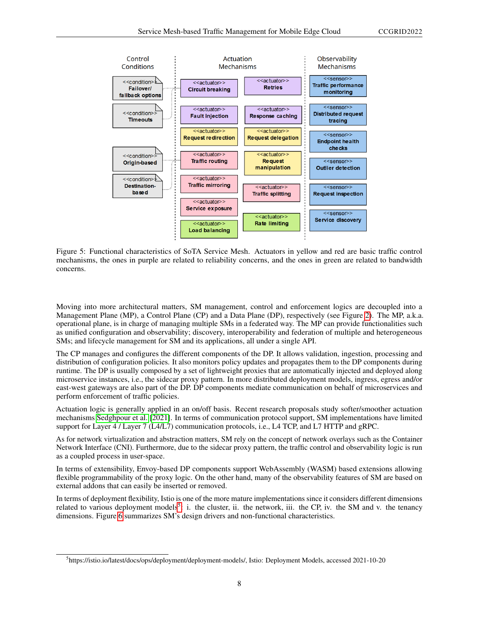

<span id="page-7-0"></span>Figure 5: Functional characteristics of SoTA Service Mesh. Actuators in yellow and red are basic traffic control mechanisms, the ones in purple are related to reliability concerns, and the ones in green are related to bandwidth concerns.

Moving into more architectural matters, SM management, control and enforcement logics are decoupled into a Management Plane (MP), a Control Plane (CP) and a Data Plane (DP), respectively (see Figure [2\)](#page-2-0). The MP, a.k.a. operational plane, is in charge of managing multiple SMs in a federated way. The MP can provide functionalities such as unified configuration and observability; discovery, interoperability and federation of multiple and heterogeneous SMs; and lifecycle management for SM and its applications, all under a single API.

The CP manages and configures the different components of the DP. It allows validation, ingestion, processing and distribution of configuration policies. It also monitors policy updates and propagates them to the DP components during runtime. The DP is usually composed by a set of lightweight proxies that are automatically injected and deployed along microservice instances, i.e., the sidecar proxy pattern. In more distributed deployment models, ingress, egress and/or east-west gateways are also part of the DP. DP components mediate communication on behalf of microservices and perform enforcement of traffic policies.

Actuation logic is generally applied in an on/off basis. Recent research proposals study softer/smoother actuation mechanisms [Sedghpour et al.](#page-14-3) [\[2021\]](#page-14-3). In terms of communication protocol support, SM implementations have limited support for Layer 4 / Layer 7 (L4/L7) communication protocols, i.e., L4 TCP, and L7 HTTP and gRPC.

As for network virtualization and abstraction matters, SM rely on the concept of network overlays such as the Container Network Interface (CNI). Furthermore, due to the sidecar proxy pattern, the traffic control and observability logic is run as a coupled process in user-space.

In terms of extensibility, Envoy-based DP components support WebAssembly (WASM) based extensions allowing flexible programmability of the proxy logic. On the other hand, many of the observability features of SM are based on external addons that can easily be inserted or removed.

In terms of deployment flexibility, Istio is one of the more mature implementations since it considers different dimensions related to various deployment models<sup>[5](#page-7-1)</sup>: i. the cluster, ii. the network, iii. the CP, iv. the SM and v. the tenancy dimensions. Figure [6](#page-8-1) summarizes SM's design drivers and non-functional characteristics.

<span id="page-7-1"></span><sup>5</sup> https://istio.io/latest/docs/ops/deployment/deployment-models/, Istio: Deployment Models, accessed 2021-10-20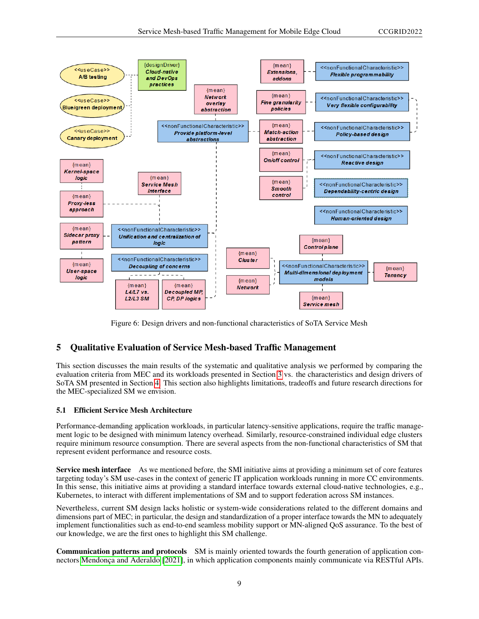

<span id="page-8-1"></span>Figure 6: Design drivers and non-functional characteristics of SoTA Service Mesh

# <span id="page-8-0"></span>5 Qualitative Evaluation of Service Mesh-based Traffic Management

This section discusses the main results of the systematic and qualitative analysis we performed by comparing the evaluation criteria from MEC and its workloads presented in Section [3](#page-4-0) vs. the characteristics and design drivers of SoTA SM presented in Section [4.](#page-5-0) This section also highlights limitations, tradeoffs and future research directions for the MEC-specialized SM we envision.

#### 5.1 Efficient Service Mesh Architecture

Performance-demanding application workloads, in particular latency-sensitive applications, require the traffic management logic to be designed with minimum latency overhead. Similarly, resource-constrained individual edge clusters require minimum resource consumption. There are several aspects from the non-functional characteristics of SM that represent evident performance and resource costs.

Service mesh interface As we mentioned before, the SMI initiative aims at providing a minimum set of core features targeting today's SM use-cases in the context of generic IT application workloads running in more CC environments. In this sense, this initiative aims at providing a standard interface towards external cloud-native technologies, e.g., Kubernetes, to interact with different implementations of SM and to support federation across SM instances.

Nevertheless, current SM design lacks holistic or system-wide considerations related to the different domains and dimensions part of MEC; in particular, the design and standardization of a proper interface towards the MN to adequately implement functionalities such as end-to-end seamless mobility support or MN-aligned QoS assurance. To the best of our knowledge, we are the first ones to highlight this SM challenge.

Communication patterns and protocols SM is mainly oriented towards the fourth generation of application connectors [Mendonça and Aderaldo](#page-14-6) [\[2021\]](#page-14-6), in which application components mainly communicate via RESTful APIs.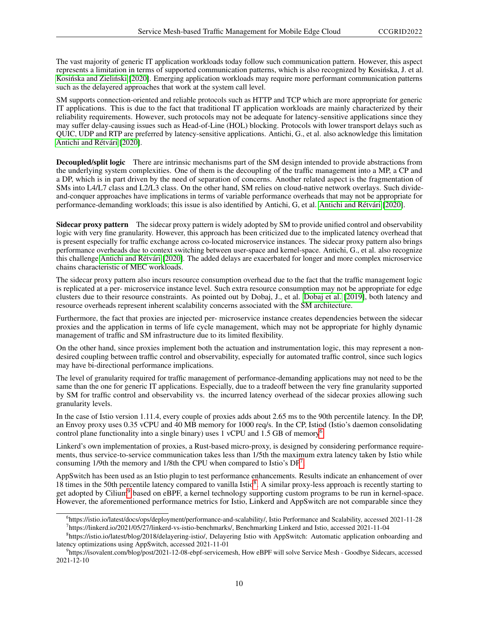The vast majority of generic IT application workloads today follow such communication pattern. However, this aspect represents a limitation in terms of supported communication patterns, which is also recognized by Kosińska, J. et al. Kosińska and Zieliński [\[2020\]](#page-14-4). Emerging application workloads may require more performant communication patterns such as the delayered approaches that work at the system call level.

SM supports connection-oriented and reliable protocols such as HTTP and TCP which are more appropriate for generic IT applications. This is due to the fact that traditional IT application workloads are mainly characterized by their reliability requirements. However, such protocols may not be adequate for latency-sensitive applications since they may suffer delay-causing issues such as Head-of-Line (HOL) blocking. Protocols with lower transport delays such as QUIC, UDP and RTP are preferred by latency-sensitive applications. Antichi, G., et al. also acknowledge this limitation [Antichi and Rétvári](#page-14-1) [\[2020\]](#page-14-1).

Decoupled/split logic There are intrinsic mechanisms part of the SM design intended to provide abstractions from the underlying system complexities. One of them is the decoupling of the traffic management into a MP, a CP and a DP, which is in part driven by the need of separation of concerns. Another related aspect is the fragmentation of SMs into L4/L7 class and L2/L3 class. On the other hand, SM relies on cloud-native network overlays. Such divideand-conquer approaches have implications in terms of variable performance overheads that may not be appropriate for performance-demanding workloads; this issue is also identified by Antichi, G, et al. [Antichi and Rétvári](#page-14-1) [\[2020\]](#page-14-1).

Sidecar proxy pattern The sidecar proxy pattern is widely adopted by SM to provide unified control and observability logic with very fine granularity. However, this approach has been criticized due to the implicated latency overhead that is present especially for traffic exchange across co-located microservice instances. The sidecar proxy pattern also brings performance overheads due to context switching between user-space and kernel-space. Antichi, G., et al. also recognize this challenge [Antichi and Rétvári](#page-14-1) [\[2020\]](#page-14-1). The added delays are exacerbated for longer and more complex microservice chains characteristic of MEC workloads.

The sidecar proxy pattern also incurs resource consumption overhead due to the fact that the traffic management logic is replicated at a per- microservice instance level. Such extra resource consumption may not be appropriate for edge clusters due to their resource constraints. As pointed out by Dobaj, J., et al. [Dobaj et al.](#page-13-4) [\[2019\]](#page-13-4), both latency and resource overheads represent inherent scalability concerns associated with the SM architecture.

Furthermore, the fact that proxies are injected per- microservice instance creates dependencies between the sidecar proxies and the application in terms of life cycle management, which may not be appropriate for highly dynamic management of traffic and SM infrastructure due to its limited flexibility.

On the other hand, since proxies implement both the actuation and instrumentation logic, this may represent a nondesired coupling between traffic control and observability, especially for automated traffic control, since such logics may have bi-directional performance implications.

The level of granularity required for traffic management of performance-demanding applications may not need to be the same than the one for generic IT applications. Especially, due to a tradeoff between the very fine granularity supported by SM for traffic control and observability vs. the incurred latency overhead of the sidecar proxies allowing such granularity levels.

In the case of Istio version 1.11.4, every couple of proxies adds about 2.65 ms to the 90th percentile latency. In the DP, an Envoy proxy uses 0.35 vCPU and 40 MB memory for 1000 req/s. In the CP, Istiod (Istio's daemon consolidating control plane functionality into a single binary) uses 1 vCPU and 1.5 GB of memory<sup>[6](#page-9-0)</sup>.

Linkerd's own implementation of proxies, a Rust-based micro-proxy, is designed by considering performance requirements, thus service-to-service communication takes less than 1/5th the maximum extra latency taken by Istio while consuming 1/9th the memory and 1/8th the CPU when compared to Istio's DP<sup>[7](#page-9-1)</sup>.

AppSwitch has been used as an Istio plugin to test performance enhancements. Results indicate an enhancement of over 1[8](#page-9-2) times in the 50th percentile latency compared to vanilla Istio<sup>8</sup>. A similar proxy-less approach is recently starting to get adopted by Cilium[9](#page-9-3) based on eBPF, a kernel technology supporting custom programs to be run in kernel-space. However, the aforementioned performance metrics for Istio, Linkerd and AppSwitch are not comparable since they

<span id="page-9-1"></span><span id="page-9-0"></span><sup>6</sup> https://istio.io/latest/docs/ops/deployment/performance-and-scalability/, Istio Performance and Scalability, accessed 2021-11-28 7 https://linkerd.io/2021/05/27/linkerd-vs-istio-benchmarks/, Benchmarking Linkerd and Istio, accessed 2021-11-04

<span id="page-9-2"></span><sup>&</sup>lt;sup>8</sup>https://istio.io/latest/blog/2018/delayering-istio/, Delayering Istio with AppSwitch: Automatic application onboarding and latency optimizations using AppSwitch, accessed 2021-11-01

<span id="page-9-3"></span><sup>9</sup> https://isovalent.com/blog/post/2021-12-08-ebpf-servicemesh, How eBPF will solve Service Mesh - Goodbye Sidecars, accessed 2021-12-10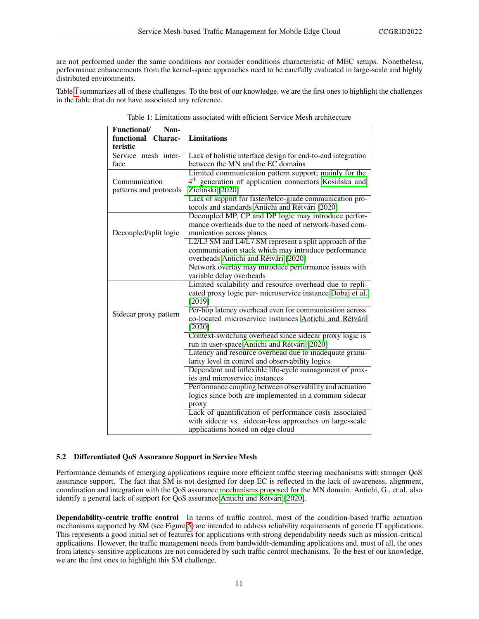are not performed under the same conditions nor consider conditions characteristic of MEC setups. Nonetheless, performance enhancements from the kernel-space approaches need to be carefully evaluated in large-scale and highly distributed environments.

Table [1](#page-10-0) summarizes all of these challenges. To the best of our knowledge, we are the first ones to highlight the challenges in the table that do not have associated any reference.

| <b>Functional/</b><br>Non- |                                                                   |
|----------------------------|-------------------------------------------------------------------|
| functional Charac-         | <b>Limitations</b>                                                |
| teristic                   |                                                                   |
| Service mesh inter-        | Lack of holistic interface design for end-to-end integration      |
| face                       | between the MN and the EC domains                                 |
|                            | Limited communication pattern support; mainly for the             |
| Communication              | 4 <sup>th</sup> generation of application connectors Kosińska and |
| patterns and protocols     | Zieliński [2020]                                                  |
|                            | Lack of support for faster/telco-grade communication pro-         |
|                            | tocols and standards Antichi and Rétvári [2020]                   |
|                            | Decoupled MP, CP and DP logic may introduce perfor-               |
|                            | mance overheads due to the need of network-based com-             |
| Decoupled/split logic      | munication across planes                                          |
|                            | L2/L3 SM and L4/L7 SM represent a split approach of the           |
|                            | communication stack which may introduce performance               |
|                            | overheads Antichi and Rétvári [2020]                              |
|                            | Network overlay may introduce performance issues with             |
|                            | variable delay overheads                                          |
|                            | Limited scalability and resource overhead due to repli-           |
|                            | cated proxy logic per- microservice instance Dobaj et al.         |
|                            | [2019]                                                            |
| Sidecar proxy pattern      | Per-hop latency overhead even for communication across            |
|                            | co-located microservice instances Antichi and Rétvári             |
|                            | [2020]                                                            |
|                            | Context-switching overhead since sidecar proxy logic is           |
|                            | run in user-space Antichi and Rétvári [2020]                      |
|                            | Latency and resource overhead due to inadequate granu-            |
|                            | larity level in control and observability logics                  |
|                            | Dependent and inflexible life-cycle management of prox-           |
|                            | ies and microservice instances                                    |
|                            | Performance coupling between observability and actuation          |
|                            | logics since both are implemented in a common sidecar             |
|                            | proxy                                                             |
|                            | Lack of quantification of performance costs associated            |
|                            | with sidecar vs. sidecar-less approaches on large-scale           |
|                            | applications hosted on edge cloud                                 |

<span id="page-10-0"></span>Table 1: Limitations associated with efficient Service Mesh architecture

# 5.2 Differentiated QoS Assurance Support in Service Mesh

Performance demands of emerging applications require more efficient traffic steering mechanisms with stronger QoS assurance support. The fact that SM is not designed for deep EC is reflected in the lack of awareness, alignment, coordination and integration with the QoS assurance mechanisms proposed for the MN domain. Antichi, G., et al. also identify a general lack of support for QoS assurance [Antichi and Rétvári](#page-14-1) [\[2020\]](#page-14-1).

Dependability-centric traffic control In terms of traffic control, most of the condition-based traffic actuation mechanisms supported by SM (see Figure [5\)](#page-7-0) are intended to address reliability requirements of generic IT applications. This represents a good initial set of features for applications with strong dependability needs such as mission-critical applications. However, the traffic management needs from bandwidth-demanding applications and, most of all, the ones from latency-sensitive applications are not considered by such traffic control mechanisms. To the best of our knowledge, we are the first ones to highlight this SM challenge.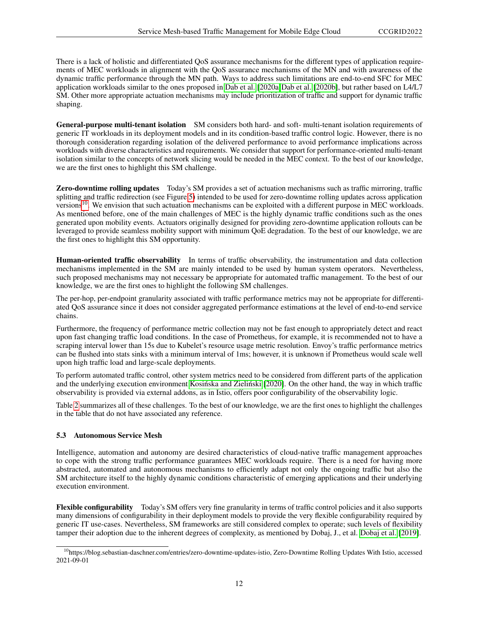There is a lack of holistic and differentiated QoS assurance mechanisms for the different types of application requirements of MEC workloads in alignment with the QoS assurance mechanisms of the MN and with awareness of the dynamic traffic performance through the MN path. Ways to address such limitations are end-to-end SFC for MEC application workloads similar to the ones proposed in [Dab et al.](#page-14-7) [\[2020a](#page-14-7)[\]Dab et al.](#page-14-8) [\[2020b\]](#page-14-8), but rather based on L4/L7 SM. Other more appropriate actuation mechanisms may include prioritization of traffic and support for dynamic traffic shaping.

General-purpose multi-tenant isolation SM considers both hard- and soft- multi-tenant isolation requirements of generic IT workloads in its deployment models and in its condition-based traffic control logic. However, there is no thorough consideration regarding isolation of the delivered performance to avoid performance implications across workloads with diverse characteristics and requirements. We consider that support for performance-oriented multi-tenant isolation similar to the concepts of network slicing would be needed in the MEC context. To the best of our knowledge, we are the first ones to highlight this SM challenge.

Zero-downtime rolling updates Today's SM provides a set of actuation mechanisms such as traffic mirroring, traffic splitting and traffic redirection (see Figure [5\)](#page-7-0) intended to be used for zero-downtime rolling updates across application versions<sup>[10](#page-11-0)</sup>. We envision that such actuation mechanisms can be exploited with a different purpose in MEC workloads. As mentioned before, one of the main challenges of MEC is the highly dynamic traffic conditions such as the ones generated upon mobility events. Actuators originally designed for providing zero-downtime application rollouts can be leveraged to provide seamless mobility support with minimum QoE degradation. To the best of our knowledge, we are the first ones to highlight this SM opportunity.

Human-oriented traffic observability In terms of traffic observability, the instrumentation and data collection mechanisms implemented in the SM are mainly intended to be used by human system operators. Nevertheless, such proposed mechanisms may not necessary be appropriate for automated traffic management. To the best of our knowledge, we are the first ones to highlight the following SM challenges.

The per-hop, per-endpoint granularity associated with traffic performance metrics may not be appropriate for differentiated QoS assurance since it does not consider aggregated performance estimations at the level of end-to-end service chains.

Furthermore, the frequency of performance metric collection may not be fast enough to appropriately detect and react upon fast changing traffic load conditions. In the case of Prometheus, for example, it is recommended not to have a scraping interval lower than 15s due to Kubelet's resource usage metric resolution. Envoy's traffic performance metrics can be flushed into stats sinks with a minimum interval of 1ms; however, it is unknown if Prometheus would scale well upon high traffic load and large-scale deployments.

To perform automated traffic control, other system metrics need to be considered from different parts of the application and the underlying execution environment Kosińska and Zieliński [\[2020\]](#page-14-4). On the other hand, the way in which traffic observability is provided via external addons, as in Istio, offers poor configurability of the observability logic.

Table [2](#page-12-0) summarizes all of these challenges. To the best of our knowledge, we are the first ones to highlight the challenges in the table that do not have associated any reference.

#### 5.3 Autonomous Service Mesh

Intelligence, automation and autonomy are desired characteristics of cloud-native traffic management approaches to cope with the strong traffic performance guarantees MEC workloads require. There is a need for having more abstracted, automated and autonomous mechanisms to efficiently adapt not only the ongoing traffic but also the SM architecture itself to the highly dynamic conditions characteristic of emerging applications and their underlying execution environment.

Flexible configurability Today's SM offers very fine granularity in terms of traffic control policies and it also supports many dimensions of configurability in their deployment models to provide the very flexible configurability required by generic IT use-cases. Nevertheless, SM frameworks are still considered complex to operate; such levels of flexibility tamper their adoption due to the inherent degrees of complexity, as mentioned by Dobaj, J., et al. [Dobaj et al.](#page-13-4) [\[2019\]](#page-13-4).

<span id="page-11-0"></span><sup>&</sup>lt;sup>10</sup>https://blog.sebastian-daschner.com/entries/zero-downtime-updates-istio, Zero-Downtime Rolling Updates With Istio, accessed 2021-09-01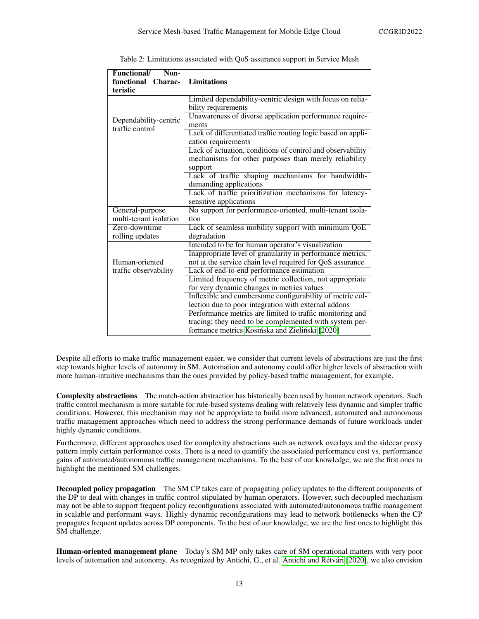| <b>Functional/</b><br>Non-               |                                                              |
|------------------------------------------|--------------------------------------------------------------|
| functional<br>Charac-<br>teristic        | <b>Limitations</b>                                           |
|                                          | Limited dependability-centric design with focus on relia-    |
|                                          | bility requirements                                          |
|                                          | Unawareness of diverse application performance require-      |
| Dependability-centric<br>traffic control |                                                              |
|                                          | ments                                                        |
|                                          | Lack of differentiated traffic routing logic based on appli- |
|                                          | cation requirements                                          |
|                                          | Lack of actuation, conditions of control and observability   |
|                                          | mechanisms for other purposes than merely reliability        |
|                                          | support                                                      |
|                                          | Lack of traffic shaping mechanisms for bandwidth-            |
|                                          | demanding applications                                       |
|                                          | Lack of traffic prioritization mechanisms for latency-       |
|                                          | sensitive applications                                       |
| General-purpose                          | No support for performance-oriented, multi-tenant isola-     |
| multi-tenant isolation                   | tion                                                         |
| Zero-downtime                            | Lack of seamless mobility support with minimum QoE           |
| rolling updates                          | degradation                                                  |
|                                          | Intended to be for human operator's visualization            |
|                                          | Inappropriate level of granularity in performance metrics,   |
| Human-oriented                           | not at the service chain level required for QoS assurance    |
| traffic observability                    | Lack of end-to-end performance estimation                    |
|                                          | Limited frequency of metric collection, not appropriate      |
|                                          | for very dynamic changes in metrics values                   |
|                                          | Inflexible and cumbersome configurability of metric col-     |
|                                          | lection due to poor integration with external addons         |
|                                          | Performance metrics are limited to traffic monitoring and    |
|                                          | tracing; they need to be complemented with system per-       |
|                                          | formance metrics Kosińska and Zieliński [2020]               |

<span id="page-12-0"></span>

| Table 2: Limitations associated with QoS assurance support in Service Mesh |  |  |  |
|----------------------------------------------------------------------------|--|--|--|
|                                                                            |  |  |  |

Despite all efforts to make traffic management easier, we consider that current levels of abstractions are just the first step towards higher levels of autonomy in SM. Automation and autonomy could offer higher levels of abstraction with more human-intuitive mechanisms than the ones provided by policy-based traffic management, for example.

Complexity abstractions The match-action abstraction has historically been used by human network operators. Such traffic control mechanism is more suitable for rule-based systems dealing with relatively less dynamic and simpler traffic conditions. However, this mechanism may not be appropriate to build more advanced, automated and autonomous traffic management approaches which need to address the strong performance demands of future workloads under highly dynamic conditions.

Furthermore, different approaches used for complexity abstractions such as network overlays and the sidecar proxy pattern imply certain performance costs. There is a need to quantify the associated performance cost vs. performance gains of automated/autonomous traffic management mechanisms. To the best of our knowledge, we are the first ones to highlight the mentioned SM challenges.

Decoupled policy propagation The SM CP takes care of propagating policy updates to the different components of the DP to deal with changes in traffic control stipulated by human operators. However, such decoupled mechanism may not be able to support frequent policy reconfigurations associated with automated/autonomous traffic management in scalable and performant ways. Highly dynamic reconfigurations may lead to network bottlenecks when the CP propagates frequent updates across DP components. To the best of our knowledge, we are the first ones to highlight this SM challenge.

Human-oriented management plane Today's SM MP only takes care of SM operational matters with very poor levels of automation and autonomy. As recognized by Antichi, G., et al. [Antichi and Rétvári](#page-14-1) [\[2020\]](#page-14-1), we also envision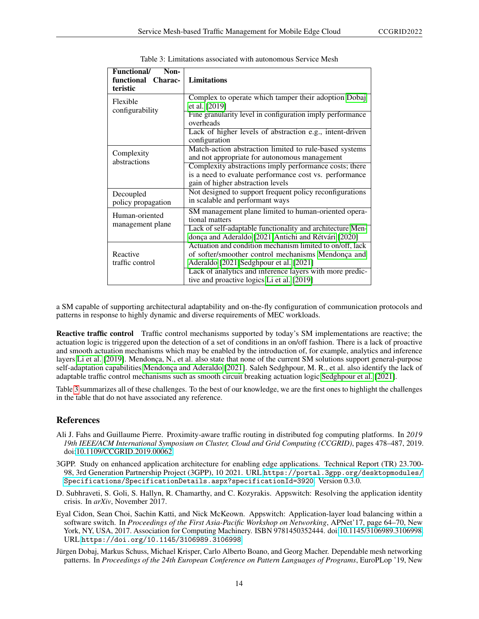| Functional/<br>Non-<br>functional<br>Charac-<br>teristic | <b>Limitations</b>                                                                                                                                                                                                    |  |
|----------------------------------------------------------|-----------------------------------------------------------------------------------------------------------------------------------------------------------------------------------------------------------------------|--|
| Flexible<br>configurability                              | Complex to operate which tamper their adoption Dobaj<br>et al. [2019]<br>Fine granularity level in configuration imply performance                                                                                    |  |
|                                                          | overheads<br>Lack of higher levels of abstraction e.g., intent-driven<br>configuration                                                                                                                                |  |
| Complexity<br>abstractions                               | Match-action abstraction limited to rule-based systems<br>and not appropriate for autonomous management<br>Complexity abstractions imply performance costs; there                                                     |  |
|                                                          | is a need to evaluate performance cost vs. performance<br>gain of higher abstraction levels                                                                                                                           |  |
| Decoupled<br>policy propagation                          | Not designed to support frequent policy reconfigurations<br>in scalable and performant ways                                                                                                                           |  |
| Human-oriented<br>management plane                       | SM management plane limited to human-oriented opera-<br>tional matters                                                                                                                                                |  |
|                                                          | Lack of self-adaptable functionality and architecture Men-<br>donça and Aderaldo [2021]Antichi and Rétvári [2020]                                                                                                     |  |
| Reactive<br>traffic control                              | Actuation and condition mechanism limited to on/off, lack<br>of softer/smoother control mechanisms Mendonça and<br>Aderaldo [2021]Sedghpour et al. [2021]<br>Lack of analytics and inference layers with more predic- |  |
|                                                          | tive and proactive logics Li et al. [2019]                                                                                                                                                                            |  |

<span id="page-13-5"></span>Table 3: Limitations associated with autonomous Service Mesh

a SM capable of supporting architectural adaptability and on-the-fly configuration of communication protocols and patterns in response to highly dynamic and diverse requirements of MEC workloads.

Reactive traffic control Traffic control mechanisms supported by today's SM implementations are reactive; the actuation logic is triggered upon the detection of a set of conditions in an on/off fashion. There is a lack of proactive and smooth actuation mechanisms which may be enabled by the introduction of, for example, analytics and inference layers [Li et al.](#page-14-0) [\[2019\]](#page-14-0). Mendonça, N., et al. also state that none of the current SM solutions support general-purpose self-adaptation capabilities [Mendonça and Aderaldo](#page-14-6) [\[2021\]](#page-14-6). Saleh Sedghpour, M. R., et al. also identify the lack of adaptable traffic control mechanisms such as smooth circuit breaking actuation logic [Sedghpour et al.](#page-14-3) [\[2021\]](#page-14-3).

Table [3](#page-13-5) summarizes all of these challenges. To the best of our knowledge, we are the first ones to highlight the challenges in the table that do not have associated any reference.

#### References

- <span id="page-13-0"></span>Ali J. Fahs and Guillaume Pierre. Proximity-aware traffic routing in distributed fog computing platforms. In *2019 19th IEEE/ACM International Symposium on Cluster, Cloud and Grid Computing (CCGRID)*, pages 478–487, 2019. doi[:10.1109/CCGRID.2019.00062.](https://doi.org/10.1109/CCGRID.2019.00062)
- <span id="page-13-1"></span>3GPP. Study on enhanced application architecture for enabling edge applications. Technical Report (TR) 23.700- 98, 3rd Generation Partnership Project (3GPP), 10 2021. URL [https://portal.3gpp.org/desktopmodules/](https://portal.3gpp.org/desktopmodules/Specifications/SpecificationDetails.aspx?specificationId=3920) [Specifications/SpecificationDetails.aspx?specificationId=3920](https://portal.3gpp.org/desktopmodules/Specifications/SpecificationDetails.aspx?specificationId=3920). Version 0.3.0.
- <span id="page-13-2"></span>D. Subhraveti, S. Goli, S. Hallyn, R. Chamarthy, and C. Kozyrakis. Appswitch: Resolving the application identity crisis. In *arXiv*, November 2017.
- <span id="page-13-3"></span>Eyal Cidon, Sean Choi, Sachin Katti, and Nick McKeown. Appswitch: Application-layer load balancing within a software switch. In *Proceedings of the First Asia-Pacific Workshop on Networking*, APNet'17, page 64–70, New York, NY, USA, 2017. Association for Computing Machinery. ISBN 9781450352444. doi[:10.1145/3106989.3106998.](https://doi.org/10.1145/3106989.3106998) URL <https://doi.org/10.1145/3106989.3106998>.
- <span id="page-13-4"></span>Jürgen Dobaj, Markus Schuss, Michael Krisper, Carlo Alberto Boano, and Georg Macher. Dependable mesh networking patterns. In *Proceedings of the 24th European Conference on Pattern Languages of Programs*, EuroPLop '19, New